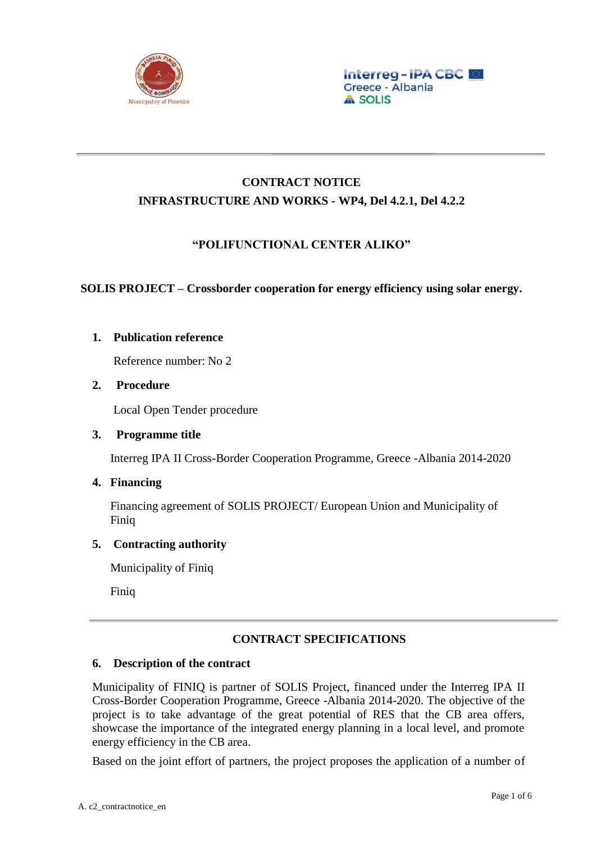

# **CONTRACT NOTICE INFRASTRUCTURE AND WORKS - WP4, Del 4.2.1, Del 4.2.2**

## **"POLIFUNCTIONAL CENTER ALIKO"**

## **SOLIS PROJECT – Crossborder cooperation for energy efficiency using solar energy.**

## **1. Publication reference**

Reference number: No 2

### **2. Procedure**

Local Open Tender procedure

### **3. Programme title**

Interreg IPA II Cross-Border Cooperation Programme, Greece -Albania 2014-2020

## **4. Financing**

Financing agreement of SOLIS PROJECT/ European Union and Municipality of Finiq

### **5. Contracting authority**

Municipality of Finiq

Finiq

## **CONTRACT SPECIFICATIONS**

## **6. Description of the contract**

Municipality of FINIQ is partner of SOLIS Project, financed under the Interreg IPA II Cross-Border Cooperation Programme, Greece -Albania 2014-2020. The objective of the project is to take advantage of the great potential of RES that the CB area offers, showcase the importance of the integrated energy planning in a local level, and promote energy efficiency in the CB area.

Based on the joint effort of partners, the project proposes the application of a number of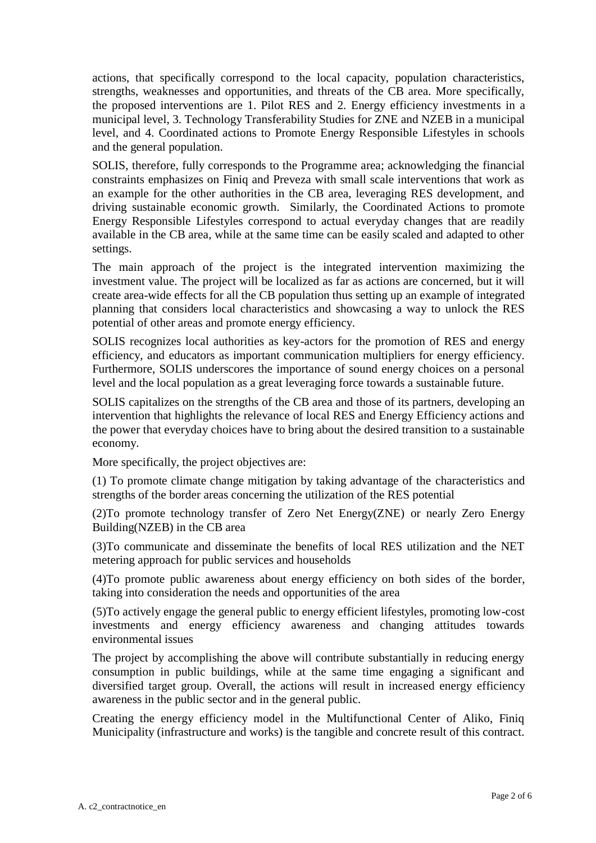actions, that specifically correspond to the local capacity, population characteristics, strengths, weaknesses and opportunities, and threats of the CB area. More specifically, the proposed interventions are 1. Pilot RES and 2. Energy efficiency investments in a municipal level, 3. Technology Transferability Studies for ZNE and NZEB in a municipal level, and 4. Coordinated actions to Promote Energy Responsible Lifestyles in schools and the general population.

SOLIS, therefore, fully corresponds to the Programme area; acknowledging the financial constraints emphasizes on Finiq and Preveza with small scale interventions that work as an example for the other authorities in the CB area, leveraging RES development, and driving sustainable economic growth. Similarly, the Coordinated Actions to promote Energy Responsible Lifestyles correspond to actual everyday changes that are readily available in the CB area, while at the same time can be easily scaled and adapted to other settings.

The main approach of the project is the integrated intervention maximizing the investment value. The project will be localized as far as actions are concerned, but it will create area-wide effects for all the CB population thus setting up an example of integrated planning that considers local characteristics and showcasing a way to unlock the RES potential of other areas and promote energy efficiency.

SOLIS recognizes local authorities as key-actors for the promotion of RES and energy efficiency, and educators as important communication multipliers for energy efficiency. Furthermore, SOLIS underscores the importance of sound energy choices on a personal level and the local population as a great leveraging force towards a sustainable future.

SOLIS capitalizes on the strengths of the CB area and those of its partners, developing an intervention that highlights the relevance of local RES and Energy Efficiency actions and the power that everyday choices have to bring about the desired transition to a sustainable economy.

More specifically, the project objectives are:

(1) To promote climate change mitigation by taking advantage of the characteristics and strengths of the border areas concerning the utilization of the RES potential

(2)To promote technology transfer of Zero Net Energy(ZNE) or nearly Zero Energy Building(NZEB) in the CB area

(3)To communicate and disseminate the benefits of local RES utilization and the NET metering approach for public services and households

(4)To promote public awareness about energy efficiency on both sides of the border, taking into consideration the needs and opportunities of the area

(5)To actively engage the general public to energy efficient lifestyles, promoting low-cost investments and energy efficiency awareness and changing attitudes towards environmental issues

The project by accomplishing the above will contribute substantially in reducing energy consumption in public buildings, while at the same time engaging a significant and diversified target group. Overall, the actions will result in increased energy efficiency awareness in the public sector and in the general public.

Creating the energy efficiency model in the Multifunctional Center of Aliko, Finiq Municipality (infrastructure and works) is the tangible and concrete result of this contract.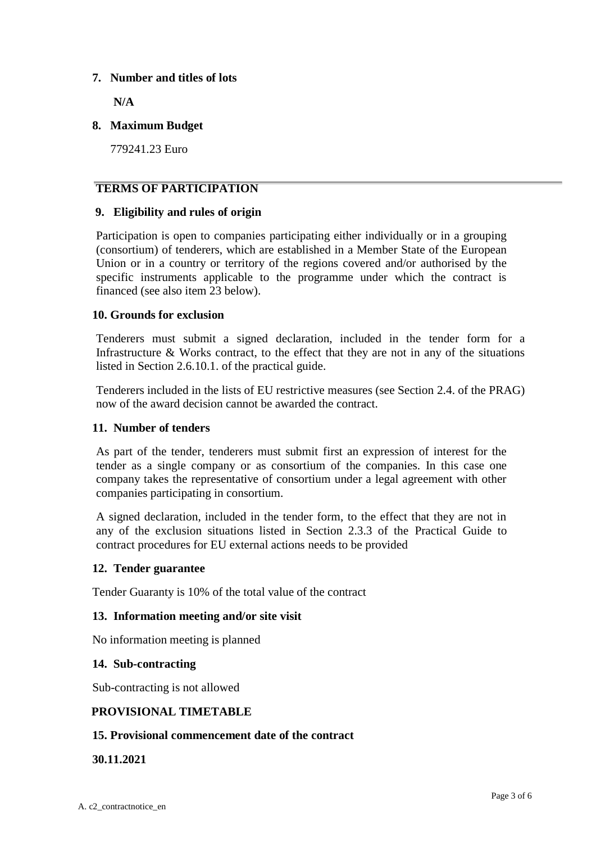### **7. Number and titles of lots**

**N/A**

### **8. Maximum Budget**

779241.23 Euro

### **TERMS OF PARTICIPATION**

### **9. Eligibility and rules of origin**

Participation is open to companies participating either individually or in a grouping (consortium) of tenderers, which are established in a Member State of the European Union or in a country or territory of the regions covered and/or authorised by the specific instruments applicable to the programme under which the contract is financed (see also item 23 below).

### **10. Grounds for exclusion**

Tenderers must submit a signed declaration, included in the tender form for a Infrastructure & Works contract, to the effect that they are not in any of the situations listed in Section 2.6.10.1. of the practical guide.

Tenderers included in the lists of EU restrictive measures (see Section 2.4. of the PRAG) now of the award decision cannot be awarded the contract.

### **11. Number of tenders**

As part of the tender, tenderers must submit first an expression of interest for the tender as a single company or as consortium of the companies. In this case one company takes the representative of consortium under a legal agreement with other companies participating in consortium.

A signed declaration, included in the tender form, to the effect that they are not in any of the exclusion situations listed in Section 2.3.3 of the Practical Guide to contract procedures for EU external actions needs to be provided

### **12. Tender guarantee**

Tender Guaranty is 10% of the total value of the contract

### **13. Information meeting and/or site visit**

No information meeting is planned

### **14. Sub-contracting**

Sub-contracting is not allowed

### **PROVISIONAL TIMETABLE**

### **15. Provisional commencement date of the contract**

### **30.11.2021**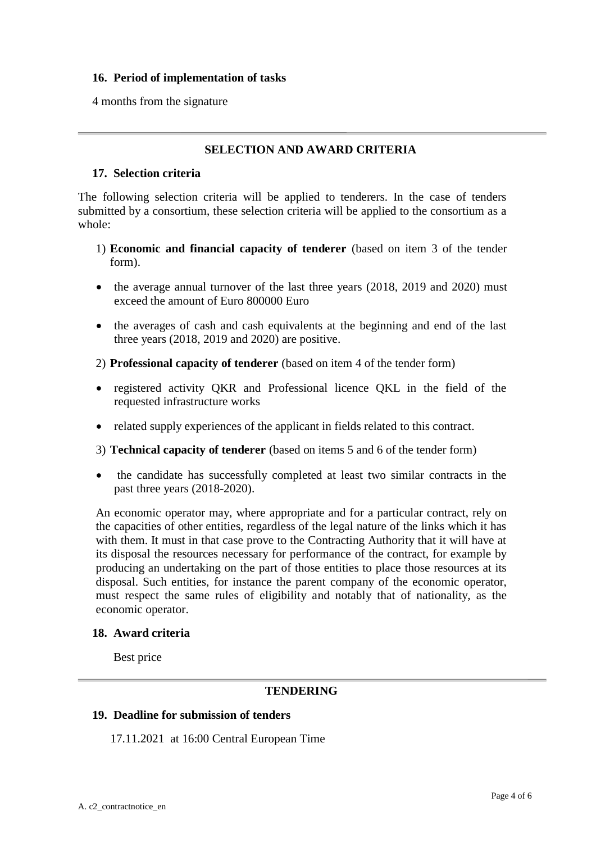### **16. Period of implementation of tasks**

4 months from the signature

### **SELECTION AND AWARD CRITERIA**

#### **17. Selection criteria**

The following selection criteria will be applied to tenderers. In the case of tenders submitted by a consortium, these selection criteria will be applied to the consortium as a whole:

- 1) **Economic and financial capacity of tenderer** (based on item 3 of the tender form).
- the average annual turnover of the last three years (2018, 2019 and 2020) must exceed the amount of Euro 800000 Euro
- the averages of cash and cash equivalents at the beginning and end of the last three years (2018, 2019 and 2020) are positive.
- 2) **Professional capacity of tenderer** (based on item 4 of the tender form)
- registered activity QKR and Professional licence QKL in the field of the requested infrastructure works
- related supply experiences of the applicant in fields related to this contract.
- 3) **Technical capacity of tenderer** (based on items 5 and 6 of the tender form)
- the candidate has successfully completed at least two similar contracts in the past three years (2018-2020).

An economic operator may, where appropriate and for a particular contract, rely on the capacities of other entities, regardless of the legal nature of the links which it has with them. It must in that case prove to the Contracting Authority that it will have at its disposal the resources necessary for performance of the contract, for example by producing an undertaking on the part of those entities to place those resources at its disposal. Such entities, for instance the parent company of the economic operator, must respect the same rules of eligibility and notably that of nationality, as the economic operator.

#### **18. Award criteria**

Best price

### **TENDERING**

#### **19. Deadline for submission of tenders**

17.11.2021 at 16:00 Central European Time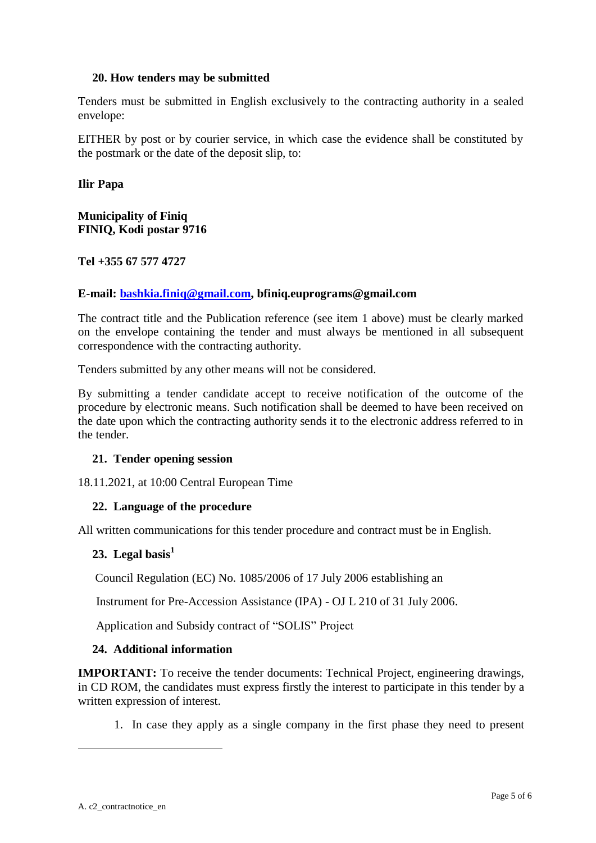### **20. How tenders may be submitted**

Tenders must be submitted in English exclusively to the contracting authority in a sealed envelope:

EITHER by post or by courier service, in which case the evidence shall be constituted by the postmark or the date of the deposit slip, to:

**Ilir Papa**

#### **Municipality of Finiq FINIQ, Kodi postar 9716**

**Tel +355 67 577 4727**

#### **E-mail: [bashkia.finiq@gmail.com,](mailto:bashkia.finiq@gmail.com) bfiniq.euprograms@gmail.com**

The contract title and the Publication reference (see item 1 above) must be clearly marked on the envelope containing the tender and must always be mentioned in all subsequent correspondence with the contracting authority.

Tenders submitted by any other means will not be considered.

By submitting a tender candidate accept to receive notification of the outcome of the procedure by electronic means. Such notification shall be deemed to have been received on the date upon which the contracting authority sends it to the electronic address referred to in the tender.

#### **21. Tender opening session**

18.11.2021, at 10:00 Central European Time

### **22. Language of the procedure**

All written communications for this tender procedure and contract must be in English.

### **23. Legal basis<sup>1</sup>**

Council Regulation (EC) No. 1085/2006 of 17 July 2006 establishing an

Instrument for Pre-Accession Assistance (IPA) - OJ L 210 of 31 July 2006.

Application and Subsidy contract of "SOLIS" Project

#### **24. Additional information**

**IMPORTANT:** To receive the tender documents: Technical Project, engineering drawings, in CD ROM, the candidates must express firstly the interest to participate in this tender by a written expression of interest.

1. In case they apply as a single company in the first phase they need to present

1